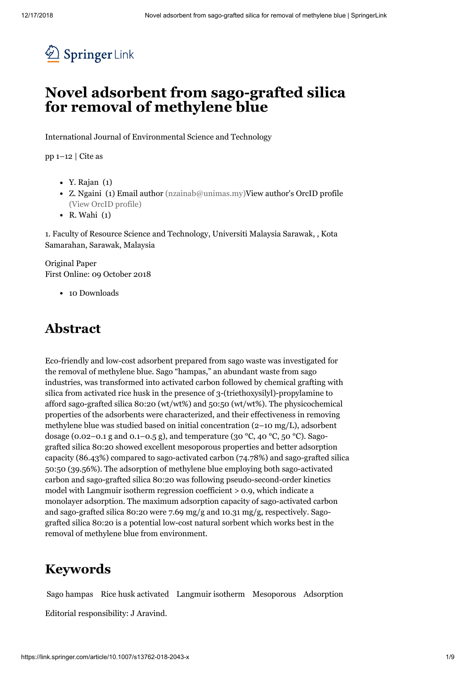

# **Novel adsorbent from sago-grafted silica for removal of methylene blue**

International Journal of [Environmental](https://link.springer.com/journal/13762) Science and Technology

pp  $1-12$  | [Cite](#page-8-0) as

- $\bullet$  Y. Rajan  $(1)$
- Z. Ngaini (1) Email author [\(nzainab@unimas.my\)](mailto:nzainab@unimas.my)[View](http://orcid.org/0000-0001-7243-6856) author's OrcID profile (View OrcID profile)
- $\bullet$  R. Wahi  $(1)$

1. Faculty of Resource Science and Technology, Universiti Malaysia Sarawak, , Kota Samarahan, Sarawak, Malaysia

Original Paper First Online: 09 October 2018

• 10 Downloads

# **Abstract**

Eco-friendly and low-cost adsorbent prepared from sago waste was investigated for the removal of methylene blue. Sago "hampas," an abundant waste from sago industries, was transformed into activated carbon followed by chemical grafting with silica from activated rice husk in the presence of 3-(triethoxysilyl)-propylamine to afford sago-grafted silica 80:20 (wt/wt%) and 50:50 (wt/wt%). The physicochemical properties of the adsorbents were characterized, and their effectiveness in removing methylene blue was studied based on initial concentration (2–10 mg/L), adsorbent dosage (0.02–0.1 g and 0.1–0.5 g), and temperature (30 °C, 40 °C, 50 °C). Sagografted silica 80:20 showed excellent mesoporous properties and better adsorption capacity (86.43%) compared to sago-activated carbon (74.78%) and sago-grafted silica 50:50 (39.56%). The adsorption of methylene blue employing both sago-activated carbon and sago-grafted silica 80:20 was following pseudo-second-order kinetics model with Langmuir isotherm regression coefficient > 0.9, which indicate a monolayer adsorption. The maximum adsorption capacity of sago-activated carbon and sago-grafted silica 80:20 were 7.69 mg/g and 10.31 mg/g, respectively. Sagografted silica 80:20 is a potential low-cost natural sorbent which works best in the removal of methylene blue from environment.

# **Keywords**

Sago hampas Rice husk activated Langmuir isotherm Mesoporous Adsorption

Editorial responsibility: J Aravind.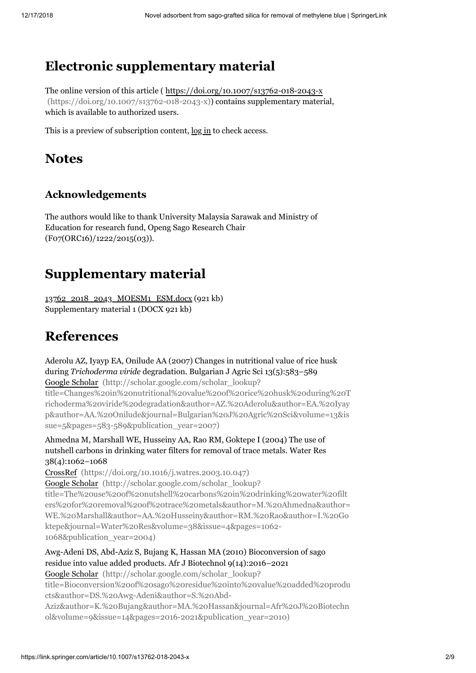# **Electronic supplementary material**

The online version of this article ( https://doi.org/10.1007/s13762-018-2043-x [\(https://doi.org/10.1007/s13762-018-2043-x\)\)](https://doi.org/10.1007/s13762-018-2043-x) contains supplementary material, which is available to authorized users.

This is a preview of subscription content,  $log in$  $log in$  to check access.

# **Notes**

# **Acknowledgements**

The authors would like to thank University Malaysia Sarawak and Ministry of Education for research fund, Openg Sago Research Chair (F07(ORC16)/1222/2015(03)).

# **Supplementary material**

[13762\\_2018\\_2043\\_MOESM1\\_ESM.docx](https://static-content.springer.com/esm/art%3A10.1007%2Fs13762-018-2043-x/MediaObjects/13762_2018_2043_MOESM1_ESM.docx) (921 kb) Supplementary material 1 (DOCX 921 kb)

# **References**

Aderolu AZ, Iyayp EA, Onilude AA (2007) Changes in nutritional value of rice husk during *Trichoderma viride* degradation. Bulgarian J Agric Sci 13(5):583–589

Google Scholar (http://scholar.google.com/scholar\_lookup?

[title=Changes%20in%20nutritional%20value%20of%20rice%20husk%20during%20T](http://scholar.google.com/scholar_lookup?title=Changes%20in%20nutritional%20value%20of%20rice%20husk%20during%20Trichoderma%20viride%20degradation&author=AZ.%20Aderolu&author=EA.%20Iyayp&author=AA.%20Onilude&journal=Bulgarian%20J%20Agric%20Sci&volume=13&issue=5&pages=583-589&publication_year=2007) richoderma%20viride%20degradation&author=AZ.%20Aderolu&author=EA.%20Iyay p&author=AA.%20Onilude&journal=Bulgarian%20J%20Agric%20Sci&volume=13&is sue=5&pages=583-589&publication\_year=2007)

Ahmedna M, Marshall WE, Husseiny AA, Rao RM, Goktepe I (2004) The use of nutshell carbons in drinking water filters for removal of trace metals. Water Res 38(4):1062–1068

CrossRef [\(https://doi.org/10.1016/j.watres.2003.10.047\)](https://doi.org/10.1016/j.watres.2003.10.047)

Google Scholar (http://scholar.google.com/scholar\_lookup?

title=The%20use%20of%20nutshell%20carbons%20in%20drinking%20water%20filt [ers%20for%20removal%20of%20trace%20metals&author=M.%20Ahmedna&author=](http://scholar.google.com/scholar_lookup?title=The%20use%20of%20nutshell%20carbons%20in%20drinking%20water%20filters%20for%20removal%20of%20trace%20metals&author=M.%20Ahmedna&author=WE.%20Marshall&author=AA.%20Husseiny&author=RM.%20Rao&author=I.%20Goktepe&journal=Water%20Res&volume=38&issue=4&pages=1062-1068&publication_year=2004) WE.%20Marshall&author=AA.%20Husseiny&author=RM.%20Rao&author=I.%20Go ktepe&journal=Water%20Res&volume=38&issue=4&pages=1062- 1068&publication\_year=2004)

Awg-Adeni DS, Abd-Aziz S, Bujang K, Hassan MA (2010) Bioconversion of sago residue into value added products. Afr J Biotechnol 9(14):2016–2021

Google Scholar (http://scholar.google.com/scholar\_lookup?

[title=Bioconversion%20of%20sago%20residue%20into%20value%20added%20produ](http://scholar.google.com/scholar_lookup?title=Bioconversion%20of%20sago%20residue%20into%20value%20added%20products&author=DS.%20Awg-Adeni&author=S.%20Abd-Aziz&author=K.%20Bujang&author=MA.%20Hassan&journal=Afr%20J%20Biotechnol&volume=9&issue=14&pages=2016-2021&publication_year=2010) cts&author=DS.%20Awg-Adeni&author=S.%20Abd-

Aziz&author=K.%20Bujang&author=MA.%20Hassan&journal=Afr%20J%20Biotechn ol&volume=9&issue=14&pages=2016-2021&publication\_year=2010)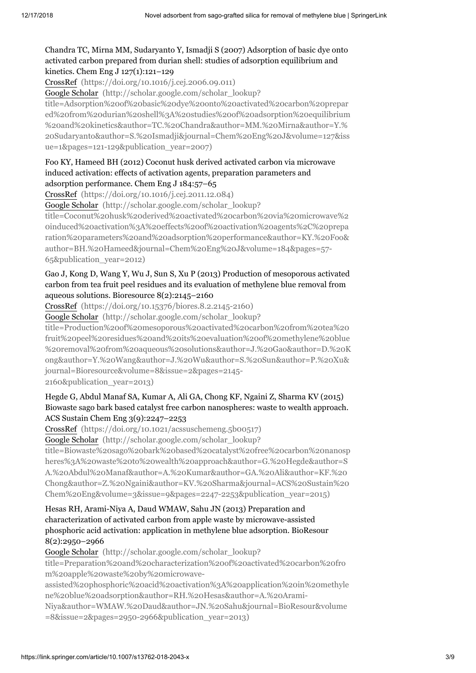### Chandra TC, Mirna MM, Sudaryanto Y, Ismadji S (2007) Adsorption of basic dye onto activated carbon prepared from durian shell: studies of adsorption equilibrium and kinetics. Chem Eng J 127(1):121–129

CrossRef [\(https://doi.org/10.1016/j.cej.2006.09.011\)](https://doi.org/10.1016/j.cej.2006.09.011)

Google Scholar (http://scholar.google.com/scholar\_lookup?

title=Adsorption%20of%20basic%20dye%20onto%20activated%20carbon%20prepar [ed%20from%20durian%20shell%3A%20studies%20of%20adsorption%20equilibrium](http://scholar.google.com/scholar_lookup?title=Adsorption%20of%20basic%20dye%20onto%20activated%20carbon%20prepared%20from%20durian%20shell%3A%20studies%20of%20adsorption%20equilibrium%20and%20kinetics&author=TC.%20Chandra&author=MM.%20Mirna&author=Y.%20Sudaryanto&author=S.%20Ismadji&journal=Chem%20Eng%20J&volume=127&issue=1&pages=121-129&publication_year=2007) %20and%20kinetics&author=TC.%20Chandra&author=MM.%20Mirna&author=Y.% 20Sudaryanto&author=S.%20Ismadji&journal=Chem%20Eng%20J&volume=127&iss ue=1&pages=121-129&publication\_year=2007)

#### Foo KY, Hameed BH (2012) Coconut husk derived activated carbon via microwave induced activation: effects of activation agents, preparation parameters and adsorption performance. Chem Eng J 184:57–65

CrossRef [\(https://doi.org/10.1016/j.cej.2011.12.084\)](https://doi.org/10.1016/j.cej.2011.12.084)

Google Scholar (http://scholar.google.com/scholar\_lookup?

title=Coconut%20husk%20derived%20activated%20carbon%20via%20microwave%2 0induced%20activation%3A%20effects%20of%20activation%20agents%2C%20prepa [ration%20parameters%20and%20adsorption%20performance&author=KY.%20Foo&](http://scholar.google.com/scholar_lookup?title=Coconut%20husk%20derived%20activated%20carbon%20via%20microwave%20induced%20activation%3A%20effects%20of%20activation%20agents%2C%20preparation%20parameters%20and%20adsorption%20performance&author=KY.%20Foo&author=BH.%20Hameed&journal=Chem%20Eng%20J&volume=184&pages=57-65&publication_year=2012) author=BH.%20Hameed&journal=Chem%20Eng%20J&volume=184&pages=57- 65&publication\_year=2012)

#### Gao J, Kong D, Wang Y, Wu J, Sun S, Xu P (2013) Production of mesoporous activated carbon from tea fruit peel residues and its evaluation of methylene blue removal from aqueous solutions. Bioresource 8(2):2145–2160

CrossRef [\(https://doi.org/10.15376/biores.8.2.2145-2160\)](https://doi.org/10.15376/biores.8.2.2145-2160)

Google Scholar (http://scholar.google.com/scholar\_lookup?

title=Production%20of%20mesoporous%20activated%20carbon%20from%20tea%20 fruit%20peel%20residues%20and%20its%20evaluation%20of%20methylene%20blue [%20removal%20from%20aqueous%20solutions&author=J.%20Gao&author=D.%20K](http://scholar.google.com/scholar_lookup?title=Production%20of%20mesoporous%20activated%20carbon%20from%20tea%20fruit%20peel%20residues%20and%20its%20evaluation%20of%20methylene%20blue%20removal%20from%20aqueous%20solutions&author=J.%20Gao&author=D.%20Kong&author=Y.%20Wang&author=J.%20Wu&author=S.%20Sun&author=P.%20Xu&journal=Bioresource&volume=8&issue=2&pages=2145-2160&publication_year=2013) ong&author=Y.%20Wang&author=J.%20Wu&author=S.%20Sun&author=P.%20Xu& journal=Bioresource&volume=8&issue=2&pages=2145- 2160&publication\_year=2013)

#### Hegde G, Abdul Manaf SA, Kumar A, Ali GA, Chong KF, Ngaini Z, Sharma KV (2015) Biowaste sago bark based catalyst free carbon nanospheres: waste to wealth approach. ACS Sustain Chem Eng 3(9):2247–2253

CrossRef [\(https://doi.org/10.1021/acssuschemeng.5b00517\)](https://doi.org/10.1021/acssuschemeng.5b00517)

Google Scholar (http://scholar.google.com/scholar\_lookup?

[title=Biowaste%20sago%20bark%20based%20catalyst%20free%20carbon%20nanosp](http://scholar.google.com/scholar_lookup?title=Biowaste%20sago%20bark%20based%20catalyst%20free%20carbon%20nanospheres%3A%20waste%20to%20wealth%20approach&author=G.%20Hegde&author=SA.%20Abdul%20Manaf&author=A.%20Kumar&author=GA.%20Ali&author=KF.%20Chong&author=Z.%20Ngaini&author=KV.%20Sharma&journal=ACS%20Sustain%20Chem%20Eng&volume=3&issue=9&pages=2247-2253&publication_year=2015) heres%3A%20waste%20to%20wealth%20approach&author=G.%20Hegde&author=S A.%20Abdul%20Manaf&author=A.%20Kumar&author=GA.%20Ali&author=KF.%20 Chong&author=Z.%20Ngaini&author=KV.%20Sharma&journal=ACS%20Sustain%20 Chem%20Eng&volume=3&issue=9&pages=2247-2253&publication\_year=2015)

### Hesas RH, Arami-Niya A, Daud WMAW, Sahu JN (2013) Preparation and characterization of activated carbon from apple waste by microwave-assisted phosphoric acid activation: application in methylene blue adsorption. BioResour 8(2):2950–2966

Google Scholar (http://scholar.google.com/scholar\_lookup?

title=Preparation%20and%20characterization%20of%20activated%20carbon%20fro m%20apple%20waste%20by%20microwave-

[assisted%20phosphoric%20acid%20activation%3A%20application%20in%20methyle](http://scholar.google.com/scholar_lookup?title=Preparation%20and%20characterization%20of%20activated%20carbon%20from%20apple%20waste%20by%20microwave-assisted%20phosphoric%20acid%20activation%3A%20application%20in%20methylene%20blue%20adsorption&author=RH.%20Hesas&author=A.%20Arami-Niya&author=WMAW.%20Daud&author=JN.%20Sahu&journal=BioResour&volume=8&issue=2&pages=2950-2966&publication_year=2013) ne%20blue%20adsorption&author=RH.%20Hesas&author=A.%20Arami-

Niya&author=WMAW.%20Daud&author=JN.%20Sahu&journal=BioResour&volume =8&issue=2&pages=2950-2966&publication\_year=2013)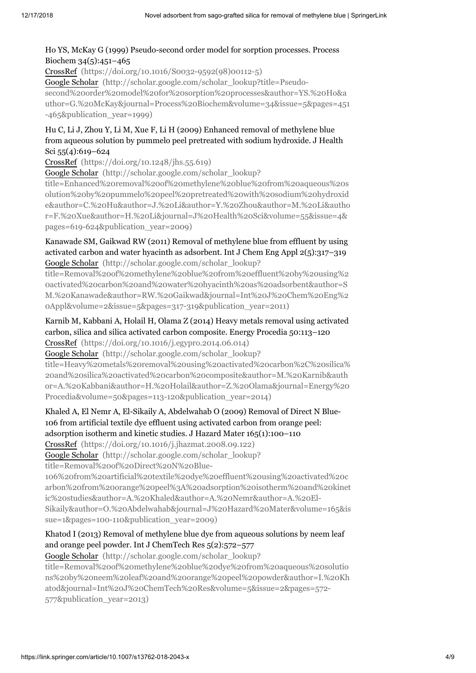### Ho YS, McKay G (1999) Pseudo-second order model for sorption processes. Process Biochem 34(5):451–465

CrossRef [\(https://doi.org/10.1016/S0032-9592\(98\)00112-5\)](https://doi.org/10.1016/S0032-9592(98)00112-5) Google Scholar (http://scholar.google.com/scholar\_lookup?title=Pseudosecond%20order%20model%20for%20sorption%20processes&author=YS.%20Ho&a [uthor=G.%20McKay&journal=Process%20Biochem&volume=34&issue=5&pages=451](http://scholar.google.com/scholar_lookup?title=Pseudo-second%20order%20model%20for%20sorption%20processes&author=YS.%20Ho&author=G.%20McKay&journal=Process%20Biochem&volume=34&issue=5&pages=451-465&publication_year=1999) -465&publication\_year=1999)

Hu C, Li J, Zhou Y, Li M, Xue F, Li H (2009) Enhanced removal of methylene blue from aqueous solution by pummelo peel pretreated with sodium hydroxide. J Health Sci 55(4):619–624

CrossRef [\(https://doi.org/10.1248/jhs.55.619\)](https://doi.org/10.1248/jhs.55.619)

Google Scholar (http://scholar.google.com/scholar\_lookup?

title=Enhanced%20removal%20of%20methylene%20blue%20from%20aqueous%20s olution%20by%20pummelo%20peel%20pretreated%20with%20sodium%20hydroxid [e&author=C.%20Hu&author=J.%20Li&author=Y.%20Zhou&author=M.%20Li&autho](http://scholar.google.com/scholar_lookup?title=Enhanced%20removal%20of%20methylene%20blue%20from%20aqueous%20solution%20by%20pummelo%20peel%20pretreated%20with%20sodium%20hydroxide&author=C.%20Hu&author=J.%20Li&author=Y.%20Zhou&author=M.%20Li&author=F.%20Xue&author=H.%20Li&journal=J%20Health%20Sci&volume=55&issue=4&pages=619-624&publication_year=2009) r=F.%20Xue&author=H.%20Li&journal=J%20Health%20Sci&volume=55&issue=4& pages=619-624&publication\_year=2009)

Kanawade SM, Gaikwad RW (2011) Removal of methylene blue from effluent by using activated carbon and water hyacinth as adsorbent. Int J Chem Eng Appl 2(5):317–319 Google Scholar (http://scholar.google.com/scholar\_lookup?

[title=Removal%20of%20methylene%20blue%20from%20effluent%20by%20using%2](http://scholar.google.com/scholar_lookup?title=Removal%20of%20methylene%20blue%20from%20effluent%20by%20using%20activated%20carbon%20and%20water%20hyacinth%20as%20adsorbent&author=SM.%20Kanawade&author=RW.%20Gaikwad&journal=Int%20J%20Chem%20Eng%20Appl&volume=2&issue=5&pages=317-319&publication_year=2011) 0activated%20carbon%20and%20water%20hyacinth%20as%20adsorbent&author=S M.%20Kanawade&author=RW.%20Gaikwad&journal=Int%20J%20Chem%20Eng%2 0Appl&volume=2&issue=5&pages=317-319&publication\_year=2011)

## Karnib M, Kabbani A, Holail H, Olama Z (2014) Heavy metals removal using activated carbon, silica and silica activated carbon composite. Energy Procedia 50:113–120

CrossRef [\(https://doi.org/10.1016/j.egypro.2014.06.014\)](https://doi.org/10.1016/j.egypro.2014.06.014)

Google Scholar (http://scholar.google.com/scholar\_lookup?

[title=Heavy%20metals%20removal%20using%20activated%20carbon%2C%20silica%](http://scholar.google.com/scholar_lookup?title=Heavy%20metals%20removal%20using%20activated%20carbon%2C%20silica%20and%20silica%20activated%20carbon%20composite&author=M.%20Karnib&author=A.%20Kabbani&author=H.%20Holail&author=Z.%20Olama&journal=Energy%20Procedia&volume=50&pages=113-120&publication_year=2014) 20and%20silica%20activated%20carbon%20composite&author=M.%20Karnib&auth or=A.%20Kabbani&author=H.%20Holail&author=Z.%20Olama&journal=Energy%20 Procedia&volume=50&pages=113-120&publication\_year=2014)

Khaled A, El Nemr A, El-Sikaily A, Abdelwahab O (2009) Removal of Direct N Blue-106 from artificial textile dye effluent using activated carbon from orange peel: adsorption isotherm and kinetic studies. J Hazard Mater 165(1):100–110 CrossRef [\(https://doi.org/10.1016/j.jhazmat.2008.09.122\)](https://doi.org/10.1016/j.jhazmat.2008.09.122)

Google Scholar (http://scholar.google.com/scholar\_lookup?

title=Removal%20of%20Direct%20N%20Blue-

106%20from%20artificial%20textile%20dye%20effluent%20using%20activated%20c arbon%20from%20orange%20peel%3A%20adsorption%20isotherm%20and%20kinet ic%20studies&author=A.%20Khaled&author=A.%20Nemr&author=A.%20El-[Sikaily&author=O.%20Abdelwahab&journal=J%20Hazard%20Mater&volume=165&is](http://scholar.google.com/scholar_lookup?title=Removal%20of%20Direct%20N%20Blue-106%20from%20artificial%20textile%20dye%20effluent%20using%20activated%20carbon%20from%20orange%20peel%3A%20adsorption%20isotherm%20and%20kinetic%20studies&author=A.%20Khaled&author=A.%20Nemr&author=A.%20El-Sikaily&author=O.%20Abdelwahab&journal=J%20Hazard%20Mater&volume=165&issue=1&pages=100-110&publication_year=2009)

sue=1&pages=100-110&publication\_year=2009)

### Khatod I (2013) Removal of methylene blue dye from aqueous solutions by neem leaf and orange peel powder. Int J ChemTech Res 5(2):572–577

Google Scholar (http://scholar.google.com/scholar\_lookup?

title=Removal%20of%20methylene%20blue%20dye%20from%20aqueous%20solutio [ns%20by%20neem%20leaf%20and%20orange%20peel%20powder&author=I.%20Kh](http://scholar.google.com/scholar_lookup?title=Removal%20of%20methylene%20blue%20dye%20from%20aqueous%20solutions%20by%20neem%20leaf%20and%20orange%20peel%20powder&author=I.%20Khatod&journal=Int%20J%20ChemTech%20Res&volume=5&issue=2&pages=572-577&publication_year=2013) atod&journal=Int%20J%20ChemTech%20Res&volume=5&issue=2&pages=572- 577&publication\_year=2013)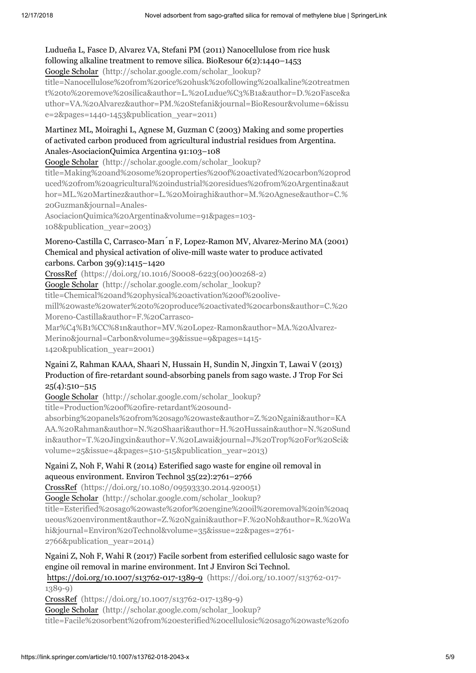# Ludueña L, Fasce D, Alvarez VA, Stefani PM (2011) Nanocellulose from rice husk following alkaline treatment to remove silica. BioResour 6(2):1440–1453

Google Scholar (http://scholar.google.com/scholar\_lookup?

title=Nanocellulose%20from%20rice%20husk%20following%20alkaline%20treatmen [t%20to%20remove%20silica&author=L.%20Ludue%C3%B1a&author=D.%20Fasce&a](http://scholar.google.com/scholar_lookup?title=Nanocellulose%20from%20rice%20husk%20following%20alkaline%20treatment%20to%20remove%20silica&author=L.%20Ludue%C3%B1a&author=D.%20Fasce&author=VA.%20Alvarez&author=PM.%20Stefani&journal=BioResour&volume=6&issue=2&pages=1440-1453&publication_year=2011) uthor=VA.%20Alvarez&author=PM.%20Stefani&journal=BioResour&volume=6&issu e=2&pages=1440-1453&publication\_year=2011)

#### Martinez ML, Moiraghi L, Agnese M, Guzman C (2003) Making and some properties of activated carbon produced from agricultural industrial residues from Argentina. Anales-AsociacionQuimica Argentina 91:103–108

Google Scholar (http://scholar.google.com/scholar\_lookup?

[title=Making%20and%20some%20properties%20of%20activated%20carbon%20prod](http://scholar.google.com/scholar_lookup?title=Making%20and%20some%20properties%20of%20activated%20carbon%20produced%20from%20agricultural%20industrial%20residues%20from%20Argentina&author=ML.%20Martinez&author=L.%20Moiraghi&author=M.%20Agnese&author=C.%20Guzman&journal=Anales-AsociacionQuimica%20Argentina&volume=91&pages=103-108&publication_year=2003) uced%20from%20agricultural%20industrial%20residues%20from%20Argentina&aut hor=ML.%20Martinez&author=L.%20Moiraghi&author=M.%20Agnese&author=C.% 20Guzman&journal=Anales-

AsociacionQuimica%20Argentina&volume=91&pages=103- 108&publication\_year=2003)

#### Moreno-Castilla C, Carrasco-Marı́n F, Lopez-Ramon MV, Alvarez-Merino MA (2001) Chemical and physical activation of olive-mill waste water to produce activated carbons. Carbon 39(9):1415–1420

CrossRef [\(https://doi.org/10.1016/S0008-6223\(00\)00268-2\)](https://doi.org/10.1016/S0008-6223(00)00268-2) Google Scholar (http://scholar.google.com/scholar\_lookup? title=Chemical%20and%20physical%20activation%20of%20olive[mill%20waste%20water%20to%20produce%20activated%20carbons&author=C.%20](http://scholar.google.com/scholar_lookup?title=Chemical%20and%20physical%20activation%20of%20olive-mill%20waste%20water%20to%20produce%20activated%20carbons&author=C.%20Moreno-Castilla&author=F.%20Carrasco-Mar%C4%B1%CC%81n&author=MV.%20Lopez-Ramon&author=MA.%20Alvarez-Merino&journal=Carbon&volume=39&issue=9&pages=1415-1420&publication_year=2001) Moreno-Castilla&author=F.%20Carrasco-Mar%C4%B1%CC%81n&author=MV.%20Lopez-Ramon&author=MA.%20Alvarez-Merino&journal=Carbon&volume=39&issue=9&pages=1415-

1420&publication\_year=2001)

### Ngaini Z, Rahman KAAA, Shaari N, Hussain H, Sundin N, Jingxin T, Lawai V (2013) Production of fire-retardant sound-absorbing panels from sago waste. J Trop For Sci  $25(4):510-515$

Google Scholar (http://scholar.google.com/scholar\_lookup?

title=Production%20of%20fire-retardant%20sound-

absorbing%20panels%20from%20sago%20waste&author=Z.%20Ngaini&author=KA [AA.%20Rahman&author=N.%20Shaari&author=H.%20Hussain&author=N.%20Sund](http://scholar.google.com/scholar_lookup?title=Production%20of%20fire-retardant%20sound-absorbing%20panels%20from%20sago%20waste&author=Z.%20Ngaini&author=KAAA.%20Rahman&author=N.%20Shaari&author=H.%20Hussain&author=N.%20Sundin&author=T.%20Jingxin&author=V.%20Lawai&journal=J%20Trop%20For%20Sci&volume=25&issue=4&pages=510-515&publication_year=2013) in&author=T.%20Jingxin&author=V.%20Lawai&journal=J%20Trop%20For%20Sci& volume=25&issue=4&pages=510-515&publication\_year=2013)

### Ngaini Z, Noh F, Wahi R (2014) Esterified sago waste for engine oil removal in aqueous environment. Environ Technol 35(22):2761–2766

CrossRef [\(https://doi.org/10.1080/09593330.2014.920051\)](https://doi.org/10.1080/09593330.2014.920051) Google Scholar (http://scholar.google.com/scholar\_lookup?

title=Esterified%20sago%20waste%20for%20engine%20oil%20removal%20in%20aq [ueous%20environment&author=Z.%20Ngaini&author=F.%20Noh&author=R.%20Wa](http://scholar.google.com/scholar_lookup?title=Esterified%20sago%20waste%20for%20engine%20oil%20removal%20in%20aqueous%20environment&author=Z.%20Ngaini&author=F.%20Noh&author=R.%20Wahi&journal=Environ%20Technol&volume=35&issue=22&pages=2761-2766&publication_year=2014) hi&journal=Environ%20Technol&volume=35&issue=22&pages=2761- 2766&publication\_year=2014)

Ngaini Z, Noh F, Wahi R (2017) Facile sorbent from esterified cellulosic sago waste for engine oil removal in marine environment. Int J Environ Sci Technol.

<https://doi.org/10.1007/s13762-017-1389-9> (https://doi.org/10.1007/s13762-017- 1389-9)

CrossRef [\(https://doi.org/10.1007/s13762-017-1389-9\)](https://doi.org/10.1007/s13762-017-1389-9)

Google Scholar (http://scholar.google.com/scholar\_lookup?

[title=Facile%20sorbent%20from%20esterified%20cellulosic%20sago%20waste%20fo](http://scholar.google.com/scholar_lookup?title=Facile%20sorbent%20from%20esterified%20cellulosic%20sago%20waste%20for%20engine%20oil%20removal%20in%20marine%20environment&author=Z.%20Ngaini&author=F.%20Noh&author=R.%20Wahi&journal=Int%20J%20Environ%20Sci%20Technol&publication_year=2017&doi=10.1007%2Fs13762-017-1389-9)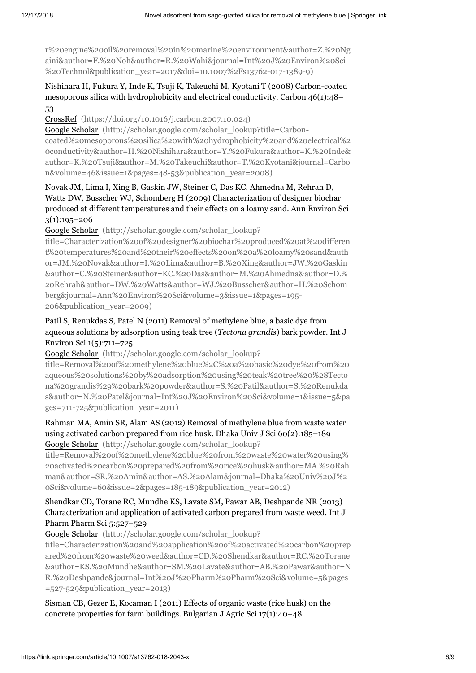[r%20engine%20oil%20removal%20in%20marine%20environment&author=Z.%20Ng](http://scholar.google.com/scholar_lookup?title=Facile%20sorbent%20from%20esterified%20cellulosic%20sago%20waste%20for%20engine%20oil%20removal%20in%20marine%20environment&author=Z.%20Ngaini&author=F.%20Noh&author=R.%20Wahi&journal=Int%20J%20Environ%20Sci%20Technol&publication_year=2017&doi=10.1007%2Fs13762-017-1389-9) aini&author=F.%20Noh&author=R.%20Wahi&journal=Int%20J%20Environ%20Sci %20Technol&publication\_year=2017&doi=10.1007%2Fs13762-017-1389-9)

#### Nishihara H, Fukura Y, Inde K, Tsuji K, Takeuchi M, Kyotani T (2008) Carbon-coated mesoporous silica with hydrophobicity and electrical conductivity. Carbon 46(1):48– 53

#### CrossRef [\(https://doi.org/10.1016/j.carbon.2007.10.024\)](https://doi.org/10.1016/j.carbon.2007.10.024)

Google Scholar (http://scholar.google.com/scholar\_lookup?title=Carbon[coated%20mesoporous%20silica%20with%20hydrophobicity%20and%20electrical%2](http://scholar.google.com/scholar_lookup?title=Carbon-coated%20mesoporous%20silica%20with%20hydrophobicity%20and%20electrical%20conductivity&author=H.%20Nishihara&author=Y.%20Fukura&author=K.%20Inde&author=K.%20Tsuji&author=M.%20Takeuchi&author=T.%20Kyotani&journal=Carbon&volume=46&issue=1&pages=48-53&publication_year=2008) 0conductivity&author=H.%20Nishihara&author=Y.%20Fukura&author=K.%20Inde& author=K.%20Tsuji&author=M.%20Takeuchi&author=T.%20Kyotani&journal=Carbo n&volume=46&issue=1&pages=48-53&publication\_year=2008)

### Novak JM, Lima I, Xing B, Gaskin JW, Steiner C, Das KC, Ahmedna M, Rehrah D, Watts DW, Busscher WJ, Schomberg H (2009) Characterization of designer biochar produced at different temperatures and their effects on a loamy sand. Ann Environ Sci 3(1):195–206

Google Scholar (http://scholar.google.com/scholar\_lookup?

[title=Characterization%20of%20designer%20biochar%20produced%20at%20differen](http://scholar.google.com/scholar_lookup?title=Characterization%20of%20designer%20biochar%20produced%20at%20different%20temperatures%20and%20their%20effects%20on%20a%20loamy%20sand&author=JM.%20Novak&author=I.%20Lima&author=B.%20Xing&author=JW.%20Gaskin&author=C.%20Steiner&author=KC.%20Das&author=M.%20Ahmedna&author=D.%20Rehrah&author=DW.%20Watts&author=WJ.%20Busscher&author=H.%20Schomberg&journal=Ann%20Environ%20Sci&volume=3&issue=1&pages=195-206&publication_year=2009) t%20temperatures%20and%20their%20effects%20on%20a%20loamy%20sand&auth or=JM.%20Novak&author=I.%20Lima&author=B.%20Xing&author=JW.%20Gaskin &author=C.%20Steiner&author=KC.%20Das&author=M.%20Ahmedna&author=D.% 20Rehrah&author=DW.%20Watts&author=WJ.%20Busscher&author=H.%20Schom berg&journal=Ann%20Environ%20Sci&volume=3&issue=1&pages=195- 206&publication\_year=2009)

## Patil S, Renukdas S, Patel N (2011) Removal of methylene blue, a basic dye from aqueous solutions by adsorption using teak tree (*Tectona grandis*) bark powder. Int J Environ Sci 1(5):711–725

#### Google Scholar (http://scholar.google.com/scholar\_lookup?

title=Removal%20of%20methylene%20blue%2C%20a%20basic%20dye%20from%20 aqueous%20solutions%20by%20adsorption%20using%20teak%20tree%20%28Tecto na%20grandis%29%20bark%20powder&author=S.%20Patil&author=S.%20Renukda [s&author=N.%20Patel&journal=Int%20J%20Environ%20Sci&volume=1&issue=5&pa](http://scholar.google.com/scholar_lookup?title=Removal%20of%20methylene%20blue%2C%20a%20basic%20dye%20from%20aqueous%20solutions%20by%20adsorption%20using%20teak%20tree%20%28Tectona%20grandis%29%20bark%20powder&author=S.%20Patil&author=S.%20Renukdas&author=N.%20Patel&journal=Int%20J%20Environ%20Sci&volume=1&issue=5&pages=711-725&publication_year=2011) ges=711-725&publication\_year=2011)

#### Rahman MA, Amin SR, Alam AS (2012) Removal of methylene blue from waste water using activated carbon prepared from rice husk. Dhaka Univ J Sci 60(2):185–189 Google Scholar (http://scholar.google.com/scholar\_lookup?

title=Removal%20of%20methylene%20blue%20from%20waste%20water%20using% [20activated%20carbon%20prepared%20from%20rice%20husk&author=MA.%20Rah](http://scholar.google.com/scholar_lookup?title=Removal%20of%20methylene%20blue%20from%20waste%20water%20using%20activated%20carbon%20prepared%20from%20rice%20husk&author=MA.%20Rahman&author=SR.%20Amin&author=AS.%20Alam&journal=Dhaka%20Univ%20J%20Sci&volume=60&issue=2&pages=185-189&publication_year=2012) man&author=SR.%20Amin&author=AS.%20Alam&journal=Dhaka%20Univ%20J%2 0Sci&volume=60&issue=2&pages=185-189&publication\_year=2012)

### Shendkar CD, Torane RC, Mundhe KS, Lavate SM, Pawar AB, Deshpande NR (2013) Characterization and application of activated carbon prepared from waste weed. Int J Pharm Pharm Sci 5:527–529

Google Scholar (http://scholar.google.com/scholar\_lookup?

title=Characterization%20and%20application%20of%20activated%20carbon%20prep ared%20from%20waste%20weed&author=CD.%20Shendkar&author=RC.%20Torane [&author=KS.%20Mundhe&author=SM.%20Lavate&author=AB.%20Pawar&author=N](http://scholar.google.com/scholar_lookup?title=Characterization%20and%20application%20of%20activated%20carbon%20prepared%20from%20waste%20weed&author=CD.%20Shendkar&author=RC.%20Torane&author=KS.%20Mundhe&author=SM.%20Lavate&author=AB.%20Pawar&author=NR.%20Deshpande&journal=Int%20J%20Pharm%20Pharm%20Sci&volume=5&pages=527-529&publication_year=2013) R.%20Deshpande&journal=Int%20J%20Pharm%20Pharm%20Sci&volume=5&pages =527-529&publication\_year=2013)

Sisman CB, Gezer E, Kocaman I (2011) Effects of organic waste (rice husk) on the concrete properties for farm buildings. Bulgarian J Agric Sci 17(1):40–48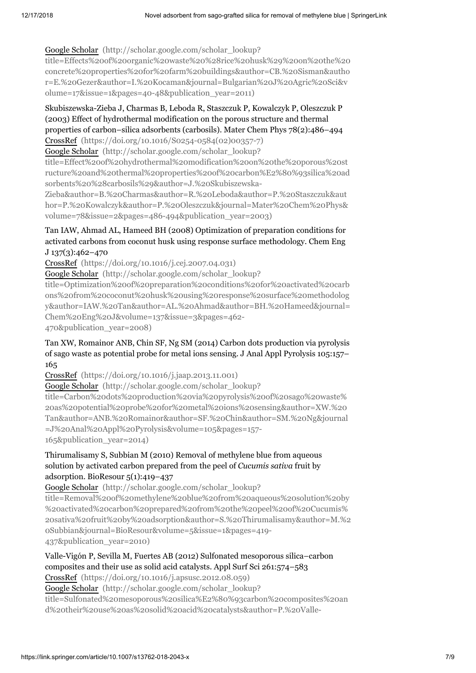### Google Scholar (http://scholar.google.com/scholar\_lookup?

[title=Effects%20of%20organic%20waste%20%28rice%20husk%29%20on%20the%20](http://scholar.google.com/scholar_lookup?title=Effects%20of%20organic%20waste%20%28rice%20husk%29%20on%20the%20concrete%20properties%20for%20farm%20buildings&author=CB.%20Sisman&author=E.%20Gezer&author=I.%20Kocaman&journal=Bulgarian%20J%20Agric%20Sci&volume=17&issue=1&pages=40-48&publication_year=2011) concrete%20properties%20for%20farm%20buildings&author=CB.%20Sisman&autho r=E.%20Gezer&author=I.%20Kocaman&journal=Bulgarian%20J%20Agric%20Sci&v olume=17&issue=1&pages=40-48&publication\_year=2011)

# Skubiszewska-Zieba J, Charmas B, Leboda R, Staszczuk P, Kowalczyk P, Oleszczuk P (2003) Effect of hydrothermal modification on the porous structure and thermal properties of carbon–silica adsorbents (carbosils). Mater Chem Phys 78(2):486–494

CrossRef [\(https://doi.org/10.1016/S0254-0584\(02\)00357-7\)](https://doi.org/10.1016/S0254-0584(02)00357-7) Google Scholar (http://scholar.google.com/scholar\_lookup?

title=Effect%20of%20hydrothermal%20modification%20on%20the%20porous%20st [ructure%20and%20thermal%20properties%20of%20carbon%E2%80%93silica%20ad](http://scholar.google.com/scholar_lookup?title=Effect%20of%20hydrothermal%20modification%20on%20the%20porous%20structure%20and%20thermal%20properties%20of%20carbon%E2%80%93silica%20adsorbents%20%28carbosils%29&author=J.%20Skubiszewska-Zieba&author=B.%20Charmas&author=R.%20Leboda&author=P.%20Staszczuk&author=P.%20Kowalczyk&author=P.%20Oleszczuk&journal=Mater%20Chem%20Phys&volume=78&issue=2&pages=486-494&publication_year=2003) sorbents%20%28carbosils%29&author=J.%20Skubiszewska-

Zieba&author=B.%20Charmas&author=R.%20Leboda&author=P.%20Staszczuk&aut hor=P.%20Kowalczyk&author=P.%20Oleszczuk&journal=Mater%20Chem%20Phys& volume=78&issue=2&pages=486-494&publication\_year=2003)

### Tan IAW, Ahmad AL, Hameed BH (2008) Optimization of preparation conditions for activated carbons from coconut husk using response surface methodology. Chem Eng J 137(3):462–470

CrossRef [\(https://doi.org/10.1016/j.cej.2007.04.031\)](https://doi.org/10.1016/j.cej.2007.04.031)

Google Scholar (http://scholar.google.com/scholar\_lookup?

title=Optimization%20of%20preparation%20conditions%20for%20activated%20carb ons%20from%20coconut%20husk%20using%20response%20surface%20methodolog [y&author=IAW.%20Tan&author=AL.%20Ahmad&author=BH.%20Hameed&journal=](http://scholar.google.com/scholar_lookup?title=Optimization%20of%20preparation%20conditions%20for%20activated%20carbons%20from%20coconut%20husk%20using%20response%20surface%20methodology&author=IAW.%20Tan&author=AL.%20Ahmad&author=BH.%20Hameed&journal=Chem%20Eng%20J&volume=137&issue=3&pages=462-470&publication_year=2008) Chem%20Eng%20J&volume=137&issue=3&pages=462- 470&publication\_year=2008)

### Tan XW, Romainor ANB, Chin SF, Ng SM (2014) Carbon dots production via pyrolysis of sago waste as potential probe for metal ions sensing. J Anal Appl Pyrolysis 105:157– 165

CrossRef [\(https://doi.org/10.1016/j.jaap.2013.11.001\)](https://doi.org/10.1016/j.jaap.2013.11.001)

Google Scholar (http://scholar.google.com/scholar\_lookup?

title=Carbon%20dots%20production%20via%20pyrolysis%20of%20sago%20waste% 20as%20potential%20probe%20for%20metal%20ions%20sensing&author=XW.%20 [Tan&author=ANB.%20Romainor&author=SF.%20Chin&author=SM.%20Ng&journal](http://scholar.google.com/scholar_lookup?title=Carbon%20dots%20production%20via%20pyrolysis%20of%20sago%20waste%20as%20potential%20probe%20for%20metal%20ions%20sensing&author=XW.%20Tan&author=ANB.%20Romainor&author=SF.%20Chin&author=SM.%20Ng&journal=J%20Anal%20Appl%20Pyrolysis&volume=105&pages=157-165&publication_year=2014) =J%20Anal%20Appl%20Pyrolysis&volume=105&pages=157- 165&publication\_year=2014)

### Thirumalisamy S, Subbian M (2010) Removal of methylene blue from aqueous solution by activated carbon prepared from the peel of *Cucumis sativa* fruit by adsorption. BioResour 5(1):419–437

Google Scholar (http://scholar.google.com/scholar\_lookup?

title=Removal%20of%20methylene%20blue%20from%20aqueous%20solution%20by %20activated%20carbon%20prepared%20from%20the%20peel%20of%20Cucumis% [20sativa%20fruit%20by%20adsorption&author=S.%20Thirumalisamy&author=M.%2](http://scholar.google.com/scholar_lookup?title=Removal%20of%20methylene%20blue%20from%20aqueous%20solution%20by%20activated%20carbon%20prepared%20from%20the%20peel%20of%20Cucumis%20sativa%20fruit%20by%20adsorption&author=S.%20Thirumalisamy&author=M.%20Subbian&journal=BioResour&volume=5&issue=1&pages=419-437&publication_year=2010) 0Subbian&journal=BioResour&volume=5&issue=1&pages=419- 437&publication\_year=2010)

## Valle-Vigón P, Sevilla M, Fuertes AB (2012) Sulfonated mesoporous silica–carbon composites and their use as solid acid catalysts. Appl Surf Sci 261:574–583

CrossRef [\(https://doi.org/10.1016/j.apsusc.2012.08.059\)](https://doi.org/10.1016/j.apsusc.2012.08.059)

Google Scholar (http://scholar.google.com/scholar\_lookup?

[title=Sulfonated%20mesoporous%20silica%E2%80%93carbon%20composites%20an](http://scholar.google.com/scholar_lookup?title=Sulfonated%20mesoporous%20silica%E2%80%93carbon%20composites%20and%20their%20use%20as%20solid%20acid%20catalysts&author=P.%20Valle-Vig%C3%B3n&author=M.%20Sevilla&author=AB.%20Fuertes&journal=Appl%20Surf%20Sci&volume=261&pages=574-583&publication_year=2012) d%20their%20use%20as%20solid%20acid%20catalysts&author=P.%20Valle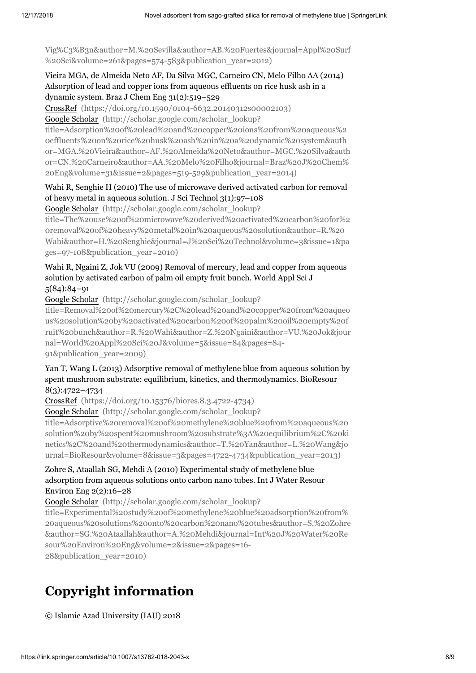[Vig%C3%B3n&author=M.%20Sevilla&author=AB.%20Fuertes&journal=Appl%20Surf](http://scholar.google.com/scholar_lookup?title=Sulfonated%20mesoporous%20silica%E2%80%93carbon%20composites%20and%20their%20use%20as%20solid%20acid%20catalysts&author=P.%20Valle-Vig%C3%B3n&author=M.%20Sevilla&author=AB.%20Fuertes&journal=Appl%20Surf%20Sci&volume=261&pages=574-583&publication_year=2012) %20Sci&volume=261&pages=574-583&publication\_year=2012)

#### Vieira MGA, de Almeida Neto AF, Da Silva MGC, Carneiro CN, Melo Filho AA (2014) Adsorption of lead and copper ions from aqueous effluents on rice husk ash in a dynamic system. Braz J Chem Eng 31(2):519–529

CrossRef [\(https://doi.org/10.1590/0104-6632.20140312s00002103\)](https://doi.org/10.1590/0104-6632.20140312s00002103)

Google Scholar (http://scholar.google.com/scholar\_lookup?

title=Adsorption%20of%20lead%20and%20copper%20ions%20from%20aqueous%2 0effluents%20on%20rice%20husk%20ash%20in%20a%20dynamic%20system&auth [or=MGA.%20Vieira&author=AF.%20Almeida%20Neto&author=MGC.%20Silva&auth](http://scholar.google.com/scholar_lookup?title=Adsorption%20of%20lead%20and%20copper%20ions%20from%20aqueous%20effluents%20on%20rice%20husk%20ash%20in%20a%20dynamic%20system&author=MGA.%20Vieira&author=AF.%20Almeida%20Neto&author=MGC.%20Silva&author=CN.%20Carneiro&author=AA.%20Melo%20Filho&journal=Braz%20J%20Chem%20Eng&volume=31&issue=2&pages=519-529&publication_year=2014) or=CN.%20Carneiro&author=AA.%20Melo%20Filho&journal=Braz%20J%20Chem% 20Eng&volume=31&issue=2&pages=519-529&publication\_year=2014)

### Wahi R, Senghie H (2010) The use of microwave derived activated carbon for removal of heavy metal in aqueous solution. J Sci Technol 3(1):97–108

Google Scholar (http://scholar.google.com/scholar\_lookup?

[title=The%20use%20of%20microwave%20derived%20activated%20carbon%20for%2](http://scholar.google.com/scholar_lookup?title=The%20use%20of%20microwave%20derived%20activated%20carbon%20for%20removal%20of%20heavy%20metal%20in%20aqueous%20solution&author=R.%20Wahi&author=H.%20Senghie&journal=J%20Sci%20Technol&volume=3&issue=1&pages=97-108&publication_year=2010) 0removal%20of%20heavy%20metal%20in%20aqueous%20solution&author=R.%20 Wahi&author=H.%20Senghie&journal=J%20Sci%20Technol&volume=3&issue=1&pa ges=97-108&publication\_year=2010)

### Wahi R, Ngaini Z, Jok VU (2009) Removal of mercury, lead and copper from aqueous solution by activated carbon of palm oil empty fruit bunch. World Appl Sci J 5(84):84–91

Google Scholar (http://scholar.google.com/scholar\_lookup?

title=Removal%20of%20mercury%2C%20lead%20and%20copper%20from%20aqueo us%20solution%20by%20activated%20carbon%20of%20palm%20oil%20empty%20f [ruit%20bunch&author=R.%20Wahi&author=Z.%20Ngaini&author=VU.%20Jok&jour](http://scholar.google.com/scholar_lookup?title=Removal%20of%20mercury%2C%20lead%20and%20copper%20from%20aqueous%20solution%20by%20activated%20carbon%20of%20palm%20oil%20empty%20fruit%20bunch&author=R.%20Wahi&author=Z.%20Ngaini&author=VU.%20Jok&journal=World%20Appl%20Sci%20J&volume=5&issue=84&pages=84-91&publication_year=2009) nal=World%20Appl%20Sci%20J&volume=5&issue=84&pages=84- 91&publication\_year=2009)

#### Yan T, Wang L (2013) Adsorptive removal of methylene blue from aqueous solution by spent mushroom substrate: equilibrium, kinetics, and thermodynamics. BioResour 8(3):4722–4734

CrossRef [\(https://doi.org/10.15376/biores.8.3.4722-4734\)](https://doi.org/10.15376/biores.8.3.4722-4734)

Google Scholar (http://scholar.google.com/scholar\_lookup?

title=Adsorptive%20removal%20of%20methylene%20blue%20from%20aqueous%20 [solution%20by%20spent%20mushroom%20substrate%3A%20equilibrium%2C%20ki](http://scholar.google.com/scholar_lookup?title=Adsorptive%20removal%20of%20methylene%20blue%20from%20aqueous%20solution%20by%20spent%20mushroom%20substrate%3A%20equilibrium%2C%20kinetics%2C%20and%20thermodynamics&author=T.%20Yan&author=L.%20Wang&journal=BioResour&volume=8&issue=3&pages=4722-4734&publication_year=2013) netics%2C%20and%20thermodynamics&author=T.%20Yan&author=L.%20Wang&jo urnal=BioResour&volume=8&issue=3&pages=4722-4734&publication\_year=2013)

#### Zohre S, Ataallah SG, Mehdi A (2010) Experimental study of methylene blue adsorption from aqueous solutions onto carbon nano tubes. Int J Water Resour Environ Eng 2(2):16–28

Google Scholar (http://scholar.google.com/scholar\_lookup? title=Experimental%20study%20of%20methylene%20blue%20adsorption%20from% [20aqueous%20solutions%20onto%20carbon%20nano%20tubes&author=S.%20Zohre](http://scholar.google.com/scholar_lookup?title=Experimental%20study%20of%20methylene%20blue%20adsorption%20from%20aqueous%20solutions%20onto%20carbon%20nano%20tubes&author=S.%20Zohre&author=SG.%20Ataallah&author=A.%20Mehdi&journal=Int%20J%20Water%20Resour%20Environ%20Eng&volume=2&issue=2&pages=16-28&publication_year=2010) &author=SG.%20Ataallah&author=A.%20Mehdi&journal=Int%20J%20Water%20Re sour%20Environ%20Eng&volume=2&issue=2&pages=16-

28&publication\_year=2010)

# **Copyright information**

© Islamic Azad University (IAU) 2018